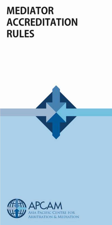# **MEDIATOR ACCREDITATION RULES**



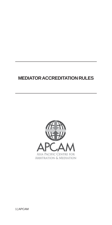# **MEDIATOR ACCREDITATION RULES**

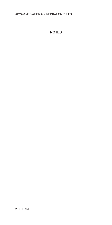APCAM MEDIATIOR ACCREDITATION RULES

# **NOTES**

2 | APCAM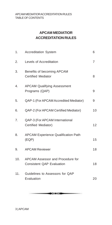# **APCAM MEDIATIOR ACCREDITATION RULES**

| 1.  | <b>Accreditation System</b>                                          | 6  |
|-----|----------------------------------------------------------------------|----|
| 2.  | Levels of Accreditation                                              | 7  |
| 3.  | Benefits of becoming APCAM<br><b>Certified Mediator</b>              | 8  |
| 4.  | <b>APCAM Qualifying Assessment</b><br>Programs (QAP)                 | 9  |
| 5.  | QAP-1 (For APCAM Accredited Mediator)                                | 9  |
| 6.  | QAP-2 (For APCAM Certified Mediator)                                 | 10 |
| 7.  | QAP-3 (For APCAM International<br>Certified Mediator)                | 12 |
| 8.  | <b>APCAM Experience Qualification Path</b><br>(EQP)                  | 15 |
| 9.  | <b>APCAM Reviewer</b>                                                | 18 |
| 10. | APCAM Assessor and Procedure for<br><b>Consistent QAP Evaluation</b> | 18 |
| 11. | Guidelines to Assessors for QAP<br>Evaluation                        | 20 |

━━₩

3 | APCAM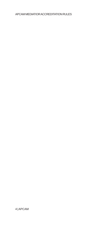#### APCAM MEDIATIOR ACCREDITATION RULES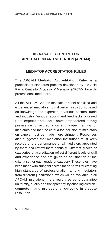## **ASIA-PACIFIC CENTRE FOR ARBITRATION AND MEDIATION (APCAM)**

#### **MEDIATOR ACCREDITATION RULES**

The APCAM Mediator Accreditation Rules is a professional standards process developed by the Asia Pacific Centre for Arbitration & Mediation (APCAM) to certify professional mediators.

All the APCAM Centres maintain a panel of skilled and experienced mediators from diverse jurisdictions, based on knowledge and expertise in various sectors, trade and industry. Various reports and feedbacks obtained from experts and users have emphasized strong preference for accreditation and proper training for mediators and that the criteria for inclusion of mediators on panels must be made more stringent. Responses also suggested that mediation institutions must keep records of the performance of all mediators appointed by them and review them annually. Different grades or categories of accreditation reflect different levels of skill and experience and are given on satisfaction of the criteria set for each grade or category. These rules have been made with stringent accreditation norms for creating high standards of professionalism among mediators from different jurisdictions, which will be available in all APCAM institutions in the region, so as to guarantee uniformity, quality and transparency, by enabling credible, competent and professional outcome in dispute resolution.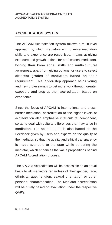#### **ACCREDITATION SYSTEM**

The APCAM Accreditation system follows a multi-level approach by which mediators with diverse mediation skills and experience are recognised. It aims at giving exposure and growth options for professional mediators, honing their knowledge, skills and multi-cultural awareness, apart from giving options for users to select different grades of mediators based on their requirement. This ladder-step approach helps young and new professionals to get more work through greater exposure and step-up their accreditation based on experience.

Since the focus of APCAM is international and crossborder mediation, accreditation to the higher levels of accreditation also emphasise inter-cultural component, so as to deal with cultural differences that may arise in mediation. The accreditation is also based on the Feedback given by users and experts on the quality of the mediator, so that the quality and ethical transparency is made available to the user while selecting the mediator, which enhances the value propositions behind APCAM Accreditation process.

The APCAM Accreditation will be accessible on an equal basis to all mediators regardless of their gender, race, ethnicity, age, religion, sexual orientation or other personal characterisation. The Mediator accreditation will be purely based on evaluation under the respective QAP's.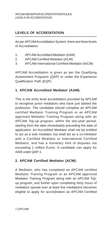#### **LEVELS OF ACCREDITATION**

As per APCAM Accreditation System, there are three levels of Accreditation.

- 1. APCAM Accredited Mediator (AAM)
- 2. APCAM Certified Mediator (ACM)
- 3. APCAM International Certified Mediator (AICM)

APCAM Accreditation is given as per the Qualifying Assessment Programs (QAP) or under the Experience Qualification Path (EQP).

#### **1. APCAM Accredited Mediator (AAM):**

This is the entry level accreditation provided by APCAM to recognise junior mediators who have just started the profession. The candidate should complete an APCAM certified Mediator Training Program or an APCAM approved Mediator Training Program along with an APCAM Top-up program, within the two-year period, starting from the date immediately preceding the date of application. An Accredited Mediator shall not be entitled to act as a sole mediator, but shall act as a co-mediator with a Certified Mediator or International Certified Mediator, and has a monetary limit of disputes not exceeding 1 million Euros. A candidate can apply for AAM under QAP-1.

#### **2. APCAM Certified Mediator (ACM):**

A Mediator, who has completed an APCAM certified Mediator Training Program or an APCAM approved Mediator Training Program along with an APCAM Topup program, and further upon completing thirty hours of mediation spread over at least five mediations becomes eligible to apply for accreditation as APCAM Certified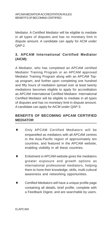Mediator. A Certified Mediator will be eligible to mediate in all types of disputes and has no monetary limit in dispute amount. A candidate can apply for ACM under  $OAP-2.$ 

#### **3. APCAM International Certified Mediator (AICM):**

A Mediator, who has completed an APCAM certified Mediator Training Program or an APCAM approved Mediator Training Program along with an APCAM Topup program, and further upon completing one hundred and fifty hours of mediation spread over at least twenty mediations becomes eligible to apply for accreditation as APCAM International Certified Mediator. International Certified Mediator will be eligible to mediate in all types of disputes and has no monetary limit in dispute amount. A candidate can apply for AICM under QAP-3.

#### **BENEFITS OF BECOMING APCAM CERTIFIED MEDIATOR**

- Only APCAM Certified Mediators will be empanelled as mediators with all APCAM centres in the Asia-Pacific region of approximately ten countries, and featured in the APCAM website, enabling visibility in all these countries.
- Enlistment in APCAM website gives the mediators greater exposure and growth options as international professional mediators, helping them to hone their knowledge, skills, multi-cultural awareness and networking opportunities.
- Certified Mediators will have a unique profile page containing all details, brief profile, complete with a Feedback Digest, and are searchable by users.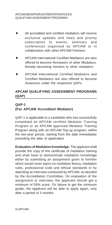- All accredited and certified mediators will receive exclusive updates and news and priority subscription to events, seminars and conferences organised by APCAM or in collaboration with other APCAM Partners.
- APCAM International Certified Mediators are also offered to become Reviewers of other Mediators, thereby becoming mentors to other mediators.
- i APCAM International Certified Mediators and Certified Mediators are also offered to become Assessors under the respective QAPs.

#### **APCAM QUALIFYING ASSESSMENT PROGRAMS (QAP)**

#### **QAP-1 (For APCAM Accredited Mediator)**

QAP-1 is applicable to a candidate who has successfully completed an APCAM certified Mediator Training Program or an APCAM approved Mediator Training Program along with an APCAM Top-up program, within the two-year period, starting from the date immediately preceding the date of application.

**Evaluation of Mediation Knowledge:** The applicant shall provide the copy of the certificate of mediation training and shall have to demonstrate mediation knowledge either by submitting an assignment given to him/her which would cover topics on mediation theory, mediation rules, professional code and ethical standards or by attending an interview conducted by APCAM, as decided by the Accreditation Committee. On evaluation of the assignment or interview, the applicant should get a minimum of 55% score. On failure to get the minimum grade, the applicant will be able to apply again, only after a period of 3 months.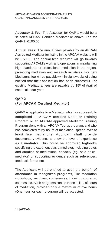**Assessor & Fee:** The Assessor for QAP-1 would be a selected APCAM Certified Mediator or above. Fee for  $OAP-1: 6100.00$ 

**Annual Fees:** The annual fees payable by an APCAM Accredited Mediator for listing in the APCAM website will be € 50.00. The annual fees received will go towards supporting APCAM's work and operations in maintaining high standards of professional mediation in the region, promoting mediation and research initiatives. For new Mediators, fee will be payable within eight weeks of being notified that their application has been successful. For existing Mediators, fees are payable by 15<sup>th</sup> of April of each calendar year.

### **QAP-2 (For APCAM Certified Mediator)**

QAP-2 is applicable to a Mediator who has successfully completed an APCAM certified Mediator Training Program or an APCAM approved Mediator Training Program along with an APCAM Top-up program, and who has completed thirty hours of mediation, spread over at least five mediations. Applicant shall provide documentary evidence to show the level of experience as a mediator. This could be approved logbooks specifying the experience as a mediator, including dates and duration of mediations, capacity (eg. sole or comediator) or supporting evidence such as references, feedback forms etc.

The Applicant will be entitled to avail the benefit of attendance in recognized programs, like mediation workshops, seminars, conferences, training programs, courses etc. Such programs can be taken in lieu of hours of mediation, provided only a maximum of five hours (One hour for each program) will be accepted.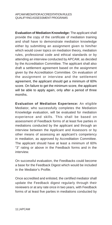**Evaluation of Mediation Knowledge:** The applicant shall provide the copy of the certificate of mediation training and shall have to demonstrate mediation knowledge either by submitting an assignment given to him/her which would cover topics on mediation theory, mediation rules, professional code and ethical standards or by attending an interview conducted by APCAM, as decided by the Accreditation Committee. The applicant shall also draft a settlement agreement based on the assignment given by the Accreditation Committee. On evaluation of the assignment or interview and the settlement agreement, the applicant should get a minimum of 60% score. On failure to get the minimum score, the applicant will be able to apply again, only after a period of three months.

**Evaluation of Mediation Experience:** An eligible Mediator, who successfully completes the Mediation Knowledge evaluation, will be evaluated for mediation experience and skills. This shall be based on assessment of Feedback forms of at least five parties in mediations conducted by the applicant and through an interview between the Applicant and Assessors or by other means of assessing an applicant's competency in mediation, as approved by Accreditation Committee. The applicant should have at least a minimum of 60% "3" rating or above in the Feedback forms and in the interview.

On successful evaluation, the Feedbacks could become a base for the Feedback Digest which would be included in the Mediator's Profile.

Once accredited and enlisted, the certified mediator shall update the Feedback digest regularly through their reviewers or at any rate once in two years, with Feedback forms of at least five parties in mediations conducted by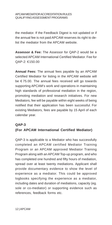the mediator. If the Feedback Digest is not updated or if the annual fee is not paid APCAM reserves its right to delist the mediator from the APCAM website.

**Assessor & Fee:** The Assessor for QAP-2 would be a selected APCAM International Certified Mediator. Fee for QAP-2: € 150.00

**Annual Fees:** The annual fees payable by an APCAM Certified Mediator for listing in the APCAM website will be € 75.00. The annual fees received will go towards supporting APCAM's work and operations in maintaining high standards of professional mediation in the region, promoting mediation and research initiatives. For new Mediators, fee will be payable within eight weeks of being notified that their application has been successful. For existing Mediators, fees are payable by 15 April of each calendar year.

# **QAP-3 (For APCAM International Certified Mediator)**

QAP-3 is applicable to a Mediator who has successfully completed an APCAM certified Mediator Training Program or an APCAM approved Mediator Training Program along with an APCAM Top-up program, and who has completed one hundred and fifty hours of mediation, spread over at least twenty mediations. Applicant shall provide documentary evidence to show the level of experience as a mediator. This could be approved logbooks specifying the experience as a mediator, including dates and duration of mediations, capacity (eg. sole or co-mediator) or supporting evidence such as references, feedback forms etc.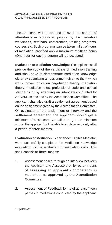The Applicant will be entitled to avail the benefit of attendance in recognized programs, like mediation workshops, seminars, conferences, training programs, courses etc. Such programs can be taken in lieu of hours of mediation, provided only a maximum of fifteen hours (One hour for each program) will be accepted.

**Evaluation of Mediation Knowledge:** The applicant shall provide the copy of the certificate of mediation training and shall have to demonstrate mediation knowledge either by submitting an assignment given to them which would cover topics on negotiation theory, mediation theory, mediation rules, professional code and ethical standards or by attending an interview conducted by APCAM, as decided by the Accreditation Committee. The applicant shall also draft a settlement agreement based on the assignment given by the Accreditation Committee. On evaluation of the assignment or interview and the settlement agreement, the applicant should get a minimum of 60% score. On failure to get the minimum score, the applicant will be able to apply again, only after a period of three months.

**Evaluation of Mediation Experience:** Eligible Mediator, who successfully completes the Mediation Knowledge evaluation, will be evaluated for mediation skills. This shall consist of three modes:

- 1. Assessment based through an interview between the Applicant and Assessors or by other means of assessing an applicant's competency in mediation, as approved by the Accreditation Committee.
- 2. Assessment of Feedback forms of at least fifteen parties in mediations conducted by the applicant.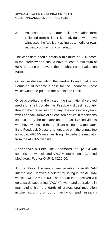3. Assessment of Mediator Skills Evaluation form collected from at least five individuals who have witnessed the Applicant acting as a mediator (e.g. parties, counsel, or co-mediator).

The candidate should obtain a minimum of 60% score in the interview and should have at least a minimum of 60% "3" rating or above in the Feedback and Evaluation forms.

On successful evaluation, the Feedbacks and Evaluation Forms could become a base for the Feedback Digest which would be put into the Mediator's Profile.

Once accredited and enlisted, the international certified mediator shall update the Feedback digest regularly through their reviewers or at any rate once in two years, with Feedback forms of at least ten parties in mediations conducted by the mediator and at least five individuals who have witnessed the Applicant acting as a mediator. If the Feedback Digest is not updated or if the annual fee is not paid APCAM reserves its right to de-list the mediator from the APCAM website.

**Assessors & Fee:** The Assessors for QAP-3 will comprise of two selected APCAM International Certified Mediators. Fee for QAP-3: €225.00.

**Annual Fees:** The annual fees payable by an APCAM International Certified Mediator for listing in the APCAM website will be €100.00. The annual fees received will go towards supporting APCAM's work and operations in maintaining high standards of professional mediation in the region, promoting mediation and research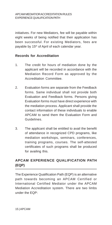initiatives. For new Mediators, fee will be payable within eight weeks of being notified that their application has been successful. For existing Mediators, fees are payable by 15<sup>th</sup> of April of each calendar year.

#### **Records for Accreditation**

- 1. The credit for hours of mediation done by the applicant will be recorded in accordance with the Mediation Record Form as approved by the Accreditation Committee.
- 2. Evaluation forms are separate from the Feedback forms. Same individual shall not provide both Evaluation and Feedback forms. Persons giving Evaluation forms must have direct experience with the mediation process. Applicant shall provide the contact information of these individuals to enable APCAM to send them the Evaluation Form and Guidelines.
- 3. The applicant shall be entitled to avail the benefit of attendance in recognized CPD programs, like mediation workshops, seminars, conferences, training programs, courses. The self-attested certificates of such programs shall be produced for availing this.

#### **APCAM EXPERIENCE QUALIFICATION PATH (EQP)**

The Experience Qualification Path (EQP) is an alternative path towards becoming an APCAM Certified or International Certified Mediator under the APCAM Mediation Accreditation system. There are two limbs under the EQP: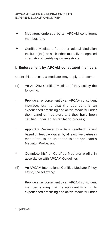- Mediators endorsed by an APCAM constituent member; and
- Certified Mediators from International Mediation Institute (IMI) or such other mutually recognised international certifying organisations.

#### **I. Endorsement by APCAM constituent members**

Under this process, a mediator may apply to become:

- (1) An APCAM Certified Mediator if they satisfy the following:
- Provide an endorsement by an APCAM constituent member, stating that the applicant is an experienced practicing and active mediator under their panel of mediators and they have been certified under an accreditation process;
- Appoint a Reviewer to write a Feedback Digest based on feedback given by at least five parties in mediation, to be uploaded to the applicant's Mediator Profile; and
- Complete his/her Certified Mediator profile in accordance with APCAM Guidelines.
- (2) An APCAM International Certified Mediator if they satisfy the following:
- Provide an endorsement by an APCAM constituent member, stating that the applicant is a highly experienced practicing and active mediator under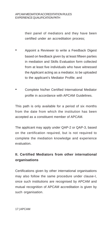their panel of mediators and they have been certified under an accreditation process;

- Appoint a Reviewer to write a Feedback Digest based on feedback given by at least fifteen parties in mediation and Skills Evaluation form collected from at least five individuals who have witnessed the Applicant acting as a mediator, to be uploaded to the applicant's Mediator Profile; and
- Complete his/her Certified International Mediator profile in accordance with APCAM Guidelines.

This path is only available for a period of six months from the date from which the institution has been accepted as a constituent member of APCAM.

The applicant may apply under QAP-2 or QAP-3, based on the certification required, but is not required to complete the mediation knowledge and experience evaluation.

# **II. Certified Mediators from other international organisations**

Certifications given by other international organisations may also follow the same procedure under clause-I, once such institutions are recognised by APCAM and mutual recognition of APCAM accreditation is given by such organisation.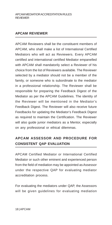#### **APCAM REVIEWER**

APCAM Reviewers shall be the constituent members of APCAM, who shall make a list of International Certified Mediators who will act as Reviewers. Every APCAM certified and international certified Mediator empanelled with APCAM shall mandatorily select a Reviewer of his choice from the list of Reviewers available. The Reviewer selected by a mediator should not be a member of the family, or someone who is subordinate to the mediator in a professional relationship. The Reviewer shall be responsible for preparing the Feedback Digest of the Mediator as per the APCAM Guidelines. The identity of the Reviewer will be mentioned in the Mediator's Feedback Digest. The Reviewer will also receive future Feedbacks for updating the Mediator's Feedback Digest as required to maintain the Certification. The Reviewer will also guide junior mediators as a Mentor, especially on any professional or ethical dilemmas.

# **APCAM ASSESSOR AND PROCEDURE FOR CONSISTENT QAP EVALUATION**

APCAM Certified Mediator or International Certified Mediator or such other eminent and experienced person from the field of mediation may be appointed as Assessor under the respective QAP for evaluating mediator accreditation process.

For evaluating the mediators under QAP, the Assessors will be given guidelines for evaluating mediation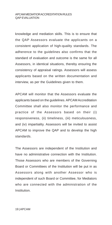knowledge and mediation skills. This is to ensure that the QAP Assessors evaluate the applicants on a consistent application of high-quality standards. The adherence to the guidelines also confirms that the standard of evaluation and outcome is the same for all Assessors, in identical situations, thereby ensuring the consistency of appraisal ratings. Assessors will assess applicants based on the written documentation and interview, as per the Guidelines given to them.

APCAM will monitor that the Assessors evaluate the applicants based on the guidelines. APCAM Accreditation Committee shall also monitor the performance and practice of the Assessors based on their (i) responsiveness, (ii) timeliness, (iii) meticulousness, and (iv) impartiality. Assessors will be invited to assist APCAM to improve the QAP and to develop the high standards.

The Assessors are independent of the Institution and have no administrative connection with the Institution. Those Assessors who are members of the Governing Board or Committees of the Institution will be put in as Assessors along with another Assessor who is independent of such Board or Committee, for Mediators who are connected with the administration of the Institution.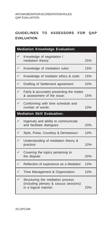# **GUIDELINES TO ASSESSORS FOR QAP EVALUATION**

| <b>Mediation Knowledge Evaluation:</b> |                                                                                                    |     |  |
|----------------------------------------|----------------------------------------------------------------------------------------------------|-----|--|
| $\checkmark$                           | Knowledge of negotiation /<br>mediation theory:                                                    | 25% |  |
| $\checkmark$                           | Knowledge of mediation rules:                                                                      | 15% |  |
| $\checkmark$                           | Knowledge of mediator ethics & code:                                                               | 15% |  |
| $\checkmark$                           | Drafting of Settlement agreement:                                                                  | 20% |  |
| $\checkmark$                           | Fairly & accurately presenting the matter<br>& assessment of the issue:                            | 15% |  |
| $\checkmark$                           | Conforming with time schedule and<br>number of words:                                              | 10% |  |
|                                        | <b>Mediation Skill Evaluation:</b>                                                                 |     |  |
| $\checkmark$                           | Ingenuity and ability to communicate<br>and facilitate dialogues:                                  | 20% |  |
| $\checkmark$                           | Style, Poise, Courtesy & Demeanour:                                                                | 10% |  |
| $\checkmark$                           | Understanding of mediation theory &<br>practice:                                                   | 10% |  |
| $\checkmark$                           | Covering the topics pertaining to<br>the dispute:                                                  | 20% |  |
| $\checkmark$                           | Reflection of experience as a Mediator:                                                            | 10% |  |
| $\checkmark$                           | Time Management & Organization:                                                                    | 10% |  |
| $\checkmark$                           | Structuring the mediation process<br>(including plenary & caucus sessions)<br>in a logical manner: | 20% |  |